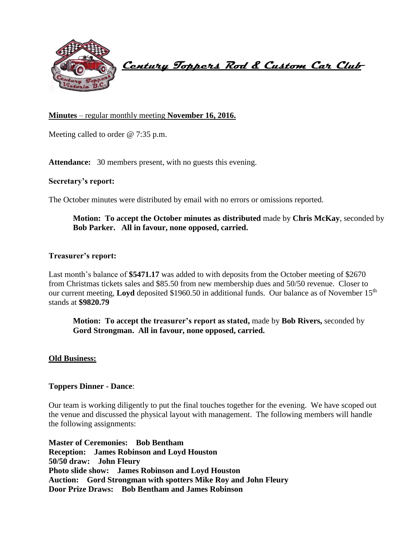

 **Century Toppers Rod & Custom Car Club** 

## **Minutes** – regular monthly meeting **November 16, 2016.**

Meeting called to order @ 7:35 p.m.

Attendance: 30 members present, with no guests this evening.

#### **Secretary's report:**

The October minutes were distributed by email with no errors or omissions reported.

**Motion: To accept the October minutes as distributed** made by **Chris McKay**, seconded by **Bob Parker. All in favour, none opposed, carried.**

#### **Treasurer's report:**

Last month's balance of \$5471.17 was added to with deposits from the October meeting of \$2670 from Christmas tickets sales and \$85.50 from new membership dues and 50/50 revenue. Closer to our current meeting, **Loyd** deposited \$1960.50 in additional funds. Our balance as of November 15<sup>th</sup> stands at **\$9820.79**

**Motion: To accept the treasurer's report as stated,** made by **Bob Rivers,** seconded by **Gord Strongman. All in favour, none opposed, carried.**

#### **Old Business:**

### **Toppers Dinner - Dance**:

Our team is working diligently to put the final touches together for the evening. We have scoped out the venue and discussed the physical layout with management. The following members will handle the following assignments:

**Master of Ceremonies: Bob Bentham Reception: James Robinson and Loyd Houston 50/50 draw: John Fleury Photo slide show: James Robinson and Loyd Houston Auction: Gord Strongman with spotters Mike Roy and John Fleury Door Prize Draws: Bob Bentham and James Robinson**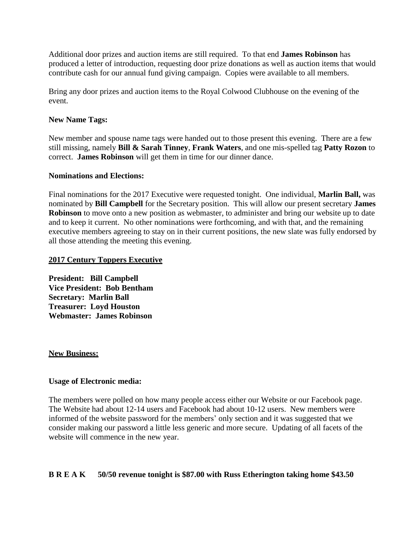Additional door prizes and auction items are still required. To that end **James Robinson** has produced a letter of introduction, requesting door prize donations as well as auction items that would contribute cash for our annual fund giving campaign. Copies were available to all members.

Bring any door prizes and auction items to the Royal Colwood Clubhouse on the evening of the event.

#### **New Name Tags:**

New member and spouse name tags were handed out to those present this evening. There are a few still missing, namely **Bill & Sarah Tinney**, **Frank Waters**, and one mis-spelled tag **Patty Rozon** to correct. **James Robinson** will get them in time for our dinner dance.

#### **Nominations and Elections:**

Final nominations for the 2017 Executive were requested tonight. One individual, **Marlin Ball,** was nominated by **Bill Campbell** for the Secretary position. This will allow our present secretary **James Robinson** to move onto a new position as webmaster, to administer and bring our website up to date and to keep it current. No other nominations were forthcoming, and with that, and the remaining executive members agreeing to stay on in their current positions, the new slate was fully endorsed by all those attending the meeting this evening.

#### **2017 Century Toppers Executive**

**President: Bill Campbell Vice President: Bob Bentham Secretary: Marlin Ball Treasurer: Loyd Houston Webmaster: James Robinson**

#### **New Business:**

### **Usage of Electronic media:**

The members were polled on how many people access either our Website or our Facebook page. The Website had about 12-14 users and Facebook had about 10-12 users. New members were informed of the website password for the members' only section and it was suggested that we consider making our password a little less generic and more secure. Updating of all facets of the website will commence in the new year.

### **B R E A K 50/50 revenue tonight is \$87.00 with Russ Etherington taking home \$43.50**